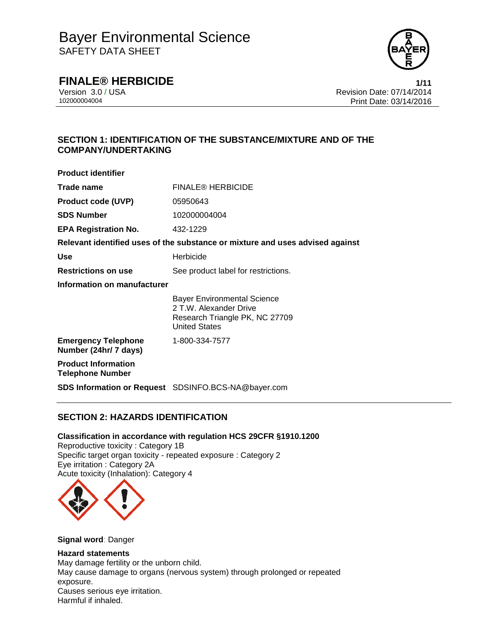

## **FINALE® HERBICIDE 1/11**

Version 3.0 / USA **Revision Date: 07/14/2014**<br>10200004004 Print Date: 03/14/2016 Print Date: 03/14/2016

### **SECTION 1: IDENTIFICATION OF THE SUBSTANCE/MIXTURE AND OF THE COMPANY/UNDERTAKING**

| <b>Product identifier</b>                             |                                                                                                                        |
|-------------------------------------------------------|------------------------------------------------------------------------------------------------------------------------|
| Trade name                                            | <b>FINALE® HERBICIDE</b>                                                                                               |
| <b>Product code (UVP)</b>                             | 05950643                                                                                                               |
| <b>SDS Number</b>                                     | 102000004004                                                                                                           |
| <b>EPA Registration No.</b>                           | 432-1229                                                                                                               |
|                                                       | Relevant identified uses of the substance or mixture and uses advised against                                          |
| <b>Use</b>                                            | Herbicide                                                                                                              |
| <b>Restrictions on use</b>                            | See product label for restrictions.                                                                                    |
| Information on manufacturer                           |                                                                                                                        |
|                                                       | <b>Bayer Environmental Science</b><br>2 T.W. Alexander Drive<br>Research Triangle PK, NC 27709<br><b>United States</b> |
| <b>Emergency Telephone</b><br>Number (24hr/ 7 days)   | 1-800-334-7577                                                                                                         |
| <b>Product Information</b><br><b>Telephone Number</b> |                                                                                                                        |
|                                                       | <b>SDS Information or Request</b> SDSINFO.BCS-NA@bayer.com                                                             |

### **SECTION 2: HAZARDS IDENTIFICATION**

#### **Classification in accordance with regulation HCS 29CFR §1910.1200**

Reproductive toxicity : Category 1B Specific target organ toxicity - repeated exposure : Category 2 Eye irritation : Category 2A Acute toxicity (Inhalation): Category 4



**Signal word**: Danger

## **Hazard statements**

May damage fertility or the unborn child. May cause damage to organs (nervous system) through prolonged or repeated exposure. Causes serious eye irritation. Harmful if inhaled.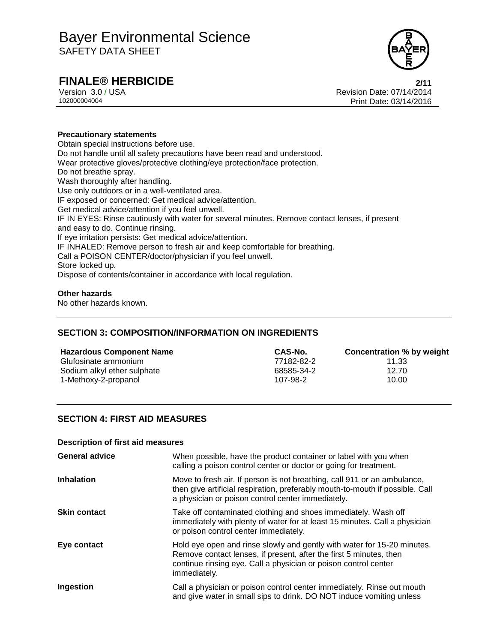

## **FINALE® HERBICIDE 2/11**

Version 3.0 / USA Revision Date: 07/14/2014 102000004004 Print Date: 03/14/2016

#### **Precautionary statements**

Obtain special instructions before use. Do not handle until all safety precautions have been read and understood. Wear protective gloves/protective clothing/eye protection/face protection. Do not breathe spray. Wash thoroughly after handling. Use only outdoors or in a well-ventilated area. IF exposed or concerned: Get medical advice/attention. Get medical advice/attention if you feel unwell. IF IN EYES: Rinse cautiously with water for several minutes. Remove contact lenses, if present and easy to do. Continue rinsing. If eye irritation persists: Get medical advice/attention. IF INHALED: Remove person to fresh air and keep comfortable for breathing. Call a POISON CENTER/doctor/physician if you feel unwell. Store locked up. Dispose of contents/container in accordance with local regulation.

#### **Other hazards**

No other hazards known.

### **SECTION 3: COMPOSITION/INFORMATION ON INGREDIENTS**

| <b>Hazardous Component Name</b> | CAS-No.    | Concentration % by weight |
|---------------------------------|------------|---------------------------|
| Glufosinate ammonium            | 77182-82-2 | 11.33                     |
| Sodium alkyl ether sulphate     | 68585-34-2 | 12.70                     |
| 1-Methoxy-2-propanol            | 107-98-2   | 10.00                     |

### **SECTION 4: FIRST AID MEASURES**

#### **Description of first aid measures**

| <b>General advice</b> | When possible, have the product container or label with you when<br>calling a poison control center or doctor or going for treatment.                                                                                            |
|-----------------------|----------------------------------------------------------------------------------------------------------------------------------------------------------------------------------------------------------------------------------|
| <b>Inhalation</b>     | Move to fresh air. If person is not breathing, call 911 or an ambulance,<br>then give artificial respiration, preferably mouth-to-mouth if possible. Call<br>a physician or poison control center immediately.                   |
| <b>Skin contact</b>   | Take off contaminated clothing and shoes immediately. Wash off<br>immediately with plenty of water for at least 15 minutes. Call a physician<br>or poison control center immediately.                                            |
| Eye contact           | Hold eye open and rinse slowly and gently with water for 15-20 minutes.<br>Remove contact lenses, if present, after the first 5 minutes, then<br>continue rinsing eye. Call a physician or poison control center<br>immediately. |
| Ingestion             | Call a physician or poison control center immediately. Rinse out mouth<br>and give water in small sips to drink. DO NOT induce vomiting unless                                                                                   |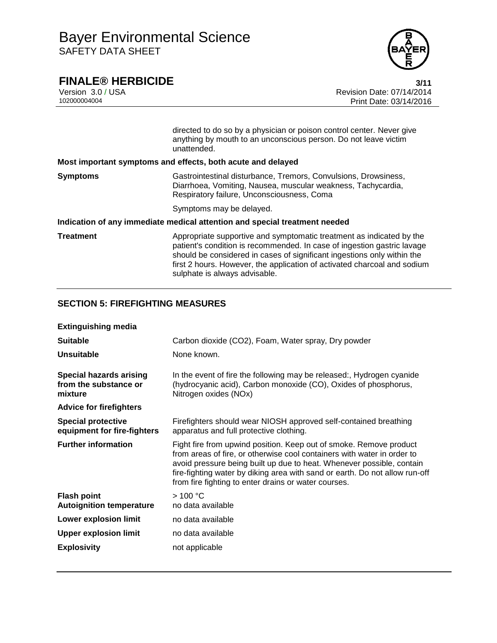

**FINALE® HERBICIDE**<br>Version 3.0 / USA **1999 120 14/2014**<br>Revision Date: 07/14/2014 Version 3.0 / USA Revision Date: 07/14/2014 Print Date: 03/14/2016

|           | directed to do so by a physician or poison control center. Never give<br>anything by mouth to an unconscious person. Do not leave victim<br>unattended.                                                                                                                                                                                 |
|-----------|-----------------------------------------------------------------------------------------------------------------------------------------------------------------------------------------------------------------------------------------------------------------------------------------------------------------------------------------|
|           | Most important symptoms and effects, both acute and delayed                                                                                                                                                                                                                                                                             |
| Symptoms  | Gastrointestinal disturbance, Tremors, Convulsions, Drowsiness,<br>Diarrhoea, Vomiting, Nausea, muscular weakness, Tachycardia,<br>Respiratory failure, Unconsciousness, Coma                                                                                                                                                           |
|           | Symptoms may be delayed.                                                                                                                                                                                                                                                                                                                |
|           | Indication of any immediate medical attention and special treatment needed                                                                                                                                                                                                                                                              |
| Treatment | Appropriate supportive and symptomatic treatment as indicated by the<br>patient's condition is recommended. In case of ingestion gastric lavage<br>should be considered in cases of significant ingestions only within the<br>first 2 hours. However, the application of activated charcoal and sodium<br>sulphate is always advisable. |

### **SECTION 5: FIREFIGHTING MEASURES**

| <b>Extinguishing media</b>                                         |                                                                                                                                                                                                                                                                                                                                                               |
|--------------------------------------------------------------------|---------------------------------------------------------------------------------------------------------------------------------------------------------------------------------------------------------------------------------------------------------------------------------------------------------------------------------------------------------------|
| <b>Suitable</b>                                                    | Carbon dioxide (CO2), Foam, Water spray, Dry powder                                                                                                                                                                                                                                                                                                           |
| <b>Unsuitable</b>                                                  | None known.                                                                                                                                                                                                                                                                                                                                                   |
| <b>Special hazards arising</b><br>from the substance or<br>mixture | In the event of fire the following may be released:, Hydrogen cyanide<br>(hydrocyanic acid), Carbon monoxide (CO), Oxides of phosphorus,<br>Nitrogen oxides (NOx)                                                                                                                                                                                             |
| <b>Advice for firefighters</b>                                     |                                                                                                                                                                                                                                                                                                                                                               |
| <b>Special protective</b><br>equipment for fire-fighters           | Firefighters should wear NIOSH approved self-contained breathing<br>apparatus and full protective clothing.                                                                                                                                                                                                                                                   |
| <b>Further information</b>                                         | Fight fire from upwind position. Keep out of smoke. Remove product<br>from areas of fire, or otherwise cool containers with water in order to<br>avoid pressure being built up due to heat. Whenever possible, contain<br>fire-fighting water by diking area with sand or earth. Do not allow run-off<br>from fire fighting to enter drains or water courses. |
| <b>Flash point</b><br><b>Autoignition temperature</b>              | >100 °C<br>no data available                                                                                                                                                                                                                                                                                                                                  |
| <b>Lower explosion limit</b>                                       | no data available                                                                                                                                                                                                                                                                                                                                             |
| <b>Upper explosion limit</b>                                       | no data available                                                                                                                                                                                                                                                                                                                                             |
| <b>Explosivity</b>                                                 | not applicable                                                                                                                                                                                                                                                                                                                                                |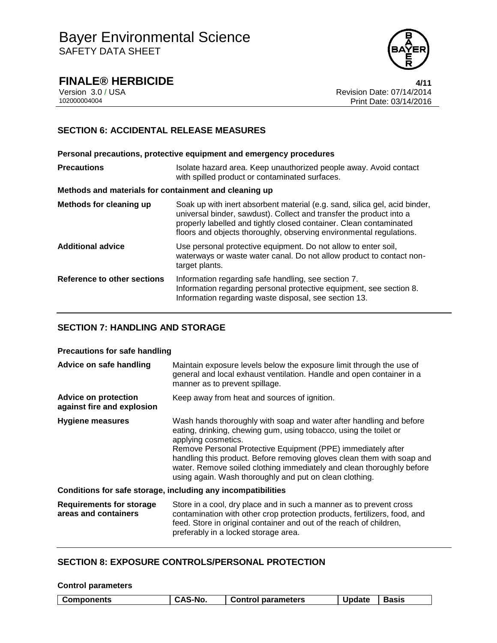

**FINALE® HERBICIDE 4/11**

Version 3.0 / USA Revision Date: 07/14/2014 102000004004 Print Date: 03/14/2016

### **SECTION 6: ACCIDENTAL RELEASE MEASURES**

**Personal precautions, protective equipment and emergency procedures Precautions ISOlate hazard area. Keep unauthorized people away. Avoid contact** with spilled product or contaminated surfaces. **Methods and materials for containment and cleaning up Methods for cleaning up** Soak up with inert absorbent material (e.g. sand, silica gel, acid binder, universal binder, sawdust). Collect and transfer the product into a properly labelled and tightly closed container. Clean contaminated floors and objects thoroughly, observing environmental regulations. **Additional advice** Use personal protective equipment. Do not allow to enter soil, waterways or waste water canal. Do not allow product to contact nontarget plants. **Reference to other sections** Information regarding safe handling, see section 7. Information regarding personal protective equipment, see section 8. Information regarding waste disposal, see section 13.

### **SECTION 7: HANDLING AND STORAGE**

#### **Precautions for safe handling**

| Advice on safe handling                                   | Maintain exposure levels below the exposure limit through the use of<br>general and local exhaust ventilation. Handle and open container in a<br>manner as to prevent spillage.                                                                                                                                                                                                                                                               |
|-----------------------------------------------------------|-----------------------------------------------------------------------------------------------------------------------------------------------------------------------------------------------------------------------------------------------------------------------------------------------------------------------------------------------------------------------------------------------------------------------------------------------|
| <b>Advice on protection</b><br>against fire and explosion | Keep away from heat and sources of ignition.                                                                                                                                                                                                                                                                                                                                                                                                  |
| <b>Hygiene measures</b>                                   | Wash hands thoroughly with soap and water after handling and before<br>eating, drinking, chewing gum, using tobacco, using the toilet or<br>applying cosmetics.<br>Remove Personal Protective Equipment (PPE) immediately after<br>handling this product. Before removing gloves clean them with soap and<br>water. Remove soiled clothing immediately and clean thoroughly before<br>using again. Wash thoroughly and put on clean clothing. |
|                                                           | Conditions for safe storage, including any incompatibilities                                                                                                                                                                                                                                                                                                                                                                                  |
| <b>Requirements for storage</b><br>areas and containers   | Store in a cool, dry place and in such a manner as to prevent cross<br>contamination with other crop protection products, fertilizers, food, and<br>feed. Store in original container and out of the reach of children,<br>preferably in a locked storage area.                                                                                                                                                                               |

#### **SECTION 8: EXPOSURE CONTROLS/PERSONAL PROTECTION**

| <b>Control parameters</b> |         |                           |               |              |
|---------------------------|---------|---------------------------|---------------|--------------|
| Components                | CAS-No. | <b>Control parameters</b> | <b>Update</b> | <b>Basis</b> |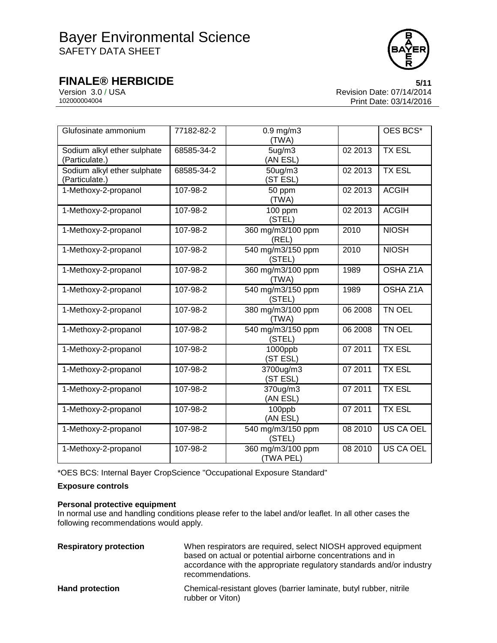

**FINALE® HERBICIDE**<br>Version 3.0 / USA **6/11**<br>Revision Date: 07/14/2014 Version 3.0 / USA Revision Date: 07/14/2014 Print Date: 03/14/2016

| Glufosinate ammonium                          | 77182-82-2 | $0.9$ mg/m $3$<br>(TWA)         |         | OES BCS*      |
|-----------------------------------------------|------------|---------------------------------|---------|---------------|
| Sodium alkyl ether sulphate<br>(Particulate.) | 68585-34-2 | 5 <sub>ug</sub> /m3<br>(AN ESL) | 02 2013 | <b>TX ESL</b> |
| Sodium alkyl ether sulphate<br>(Particulate.) | 68585-34-2 | 50ug/m3<br>(ST ESL)             | 02 2013 | <b>TX ESL</b> |
| 1-Methoxy-2-propanol                          | 107-98-2   | 50 ppm<br>(TWA)                 | 02 2013 | <b>ACGIH</b>  |
| 1-Methoxy-2-propanol                          | 107-98-2   | 100 ppm<br>(STEL)               | 02 2013 | <b>ACGIH</b>  |
| 1-Methoxy-2-propanol                          | 107-98-2   | 360 mg/m3/100 ppm<br>(REL)      | 2010    | <b>NIOSH</b>  |
| 1-Methoxy-2-propanol                          | 107-98-2   | 540 mg/m3/150 ppm<br>(STEL)     | 2010    | <b>NIOSH</b>  |
| 1-Methoxy-2-propanol                          | 107-98-2   | 360 mg/m3/100 ppm<br>(TWA)      | 1989    | OSHA Z1A      |
| 1-Methoxy-2-propanol                          | 107-98-2   | 540 mg/m3/150 ppm<br>(STEL)     | 1989    | OSHA Z1A      |
| 1-Methoxy-2-propanol                          | 107-98-2   | 380 mg/m3/100 ppm<br>(TWA)      | 06 2008 | TN OEL        |
| 1-Methoxy-2-propanol                          | 107-98-2   | 540 mg/m3/150 ppm<br>(STEL)     | 06 2008 | TN OEL        |
| 1-Methoxy-2-propanol                          | 107-98-2   | 1000ppb<br>(ST ESL)             | 07 2011 | <b>TX ESL</b> |
| 1-Methoxy-2-propanol                          | 107-98-2   | 3700ug/m3<br>(ST ESL)           | 07 2011 | <b>TX ESL</b> |
| 1-Methoxy-2-propanol                          | 107-98-2   | 370ug/m3<br>(AN ESL)            | 07 2011 | <b>TX ESL</b> |
| 1-Methoxy-2-propanol                          | 107-98-2   | 100ppb<br>(AN ESL)              | 07 2011 | <b>TX ESL</b> |
| 1-Methoxy-2-propanol                          | 107-98-2   | 540 mg/m3/150 ppm<br>(STEL)     | 08 2010 | US CA OEL     |
| 1-Methoxy-2-propanol                          | 107-98-2   | 360 mg/m3/100 ppm<br>(TWA PEL)  | 08 2010 | US CA OEL     |

\*OES BCS: Internal Bayer CropScience "Occupational Exposure Standard"

#### **Exposure controls**

#### **Personal protective equipment**

In normal use and handling conditions please refer to the label and/or leaflet. In all other cases the following recommendations would apply.

| <b>Respiratory protection</b> | When respirators are required, select NIOSH approved equipment<br>based on actual or potential airborne concentrations and in<br>accordance with the appropriate regulatory standards and/or industry<br>recommendations. |
|-------------------------------|---------------------------------------------------------------------------------------------------------------------------------------------------------------------------------------------------------------------------|
| <b>Hand protection</b>        | Chemical-resistant gloves (barrier laminate, butyl rubber, nitrile<br>rubber or Viton)                                                                                                                                    |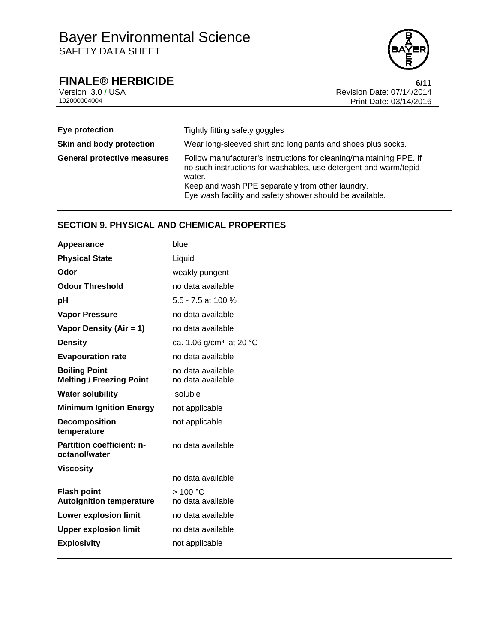

**FINALE® HERBICIDE**<br>Version 3.0/USA **6/11**<br>Revision Date: 07/14/2014 Version 3.0 / USA **Revision Date: 07/14/2014**<br>10200004004<br>Print Date: 03/14/2016 Print Date: 03/14/2016

| Eye protection                     | Tightly fitting safety goggles                                                                                                                                                                        |
|------------------------------------|-------------------------------------------------------------------------------------------------------------------------------------------------------------------------------------------------------|
| Skin and body protection           | Wear long-sleeved shirt and long pants and shoes plus socks.                                                                                                                                          |
| <b>General protective measures</b> | Follow manufacturer's instructions for cleaning/maintaining PPE. If<br>no such instructions for washables, use detergent and warm/tepid<br>water.<br>Keep and wash PPE separately from other laundry. |
|                                    | Eye wash facility and safety shower should be available.                                                                                                                                              |

#### **SECTION 9. PHYSICAL AND CHEMICAL PROPERTIES**

| Appearance                                              | blue                                   |
|---------------------------------------------------------|----------------------------------------|
| <b>Physical State</b>                                   | Liquid                                 |
| Odor                                                    | weakly pungent                         |
| <b>Odour Threshold</b>                                  | no data available                      |
| рH                                                      | 5.5 - 7.5 at 100 %                     |
| <b>Vapor Pressure</b>                                   | no data available                      |
| Vapor Density (Air = 1)                                 | no data available                      |
| <b>Density</b>                                          | ca. 1.06 g/cm <sup>3</sup> at 20 °C    |
| <b>Evapouration rate</b>                                | no data available                      |
| <b>Boiling Point</b><br><b>Melting / Freezing Point</b> | no data available<br>no data available |
| <b>Water solubility</b>                                 | soluble                                |
| <b>Minimum Ignition Energy</b>                          | not applicable                         |
| <b>Decomposition</b><br>temperature                     | not applicable                         |
| <b>Partition coefficient: n-</b><br>octanol/water       | no data available                      |
| Viscosity                                               |                                        |
|                                                         | no data available                      |
| <b>Flash point</b><br><b>Autoignition temperature</b>   | >100 °C<br>no data available           |
| <b>Lower explosion limit</b>                            | no data available                      |
| <b>Upper explosion limit</b>                            | no data available                      |
| <b>Explosivity</b>                                      | not applicable                         |
|                                                         |                                        |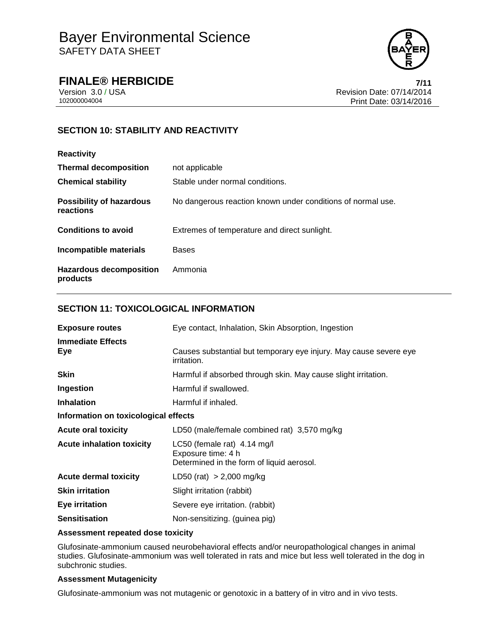

**FINALE® HERBICIDE 7/11**

Version 3.0 / USA **Revision Date: 07/14/2014**<br>10200004004 Print Date: 03/14/2016 Print Date: 03/14/2016

## **SECTION 10: STABILITY AND REACTIVITY**

#### **Reactivity**

| <b>Thermal decomposition</b><br><b>Chemical stability</b> | not applicable<br>Stable under normal conditions.           |
|-----------------------------------------------------------|-------------------------------------------------------------|
| <b>Possibility of hazardous</b><br>reactions              | No dangerous reaction known under conditions of normal use. |
| <b>Conditions to avoid</b>                                | Extremes of temperature and direct sunlight.                |
| Incompatible materials                                    | <b>Bases</b>                                                |
| <b>Hazardous decomposition</b><br>products                | Ammonia                                                     |

### **SECTION 11: TOXICOLOGICAL INFORMATION**

| <b>Exposure routes</b>               | Eye contact, Inhalation, Skin Absorption, Ingestion                                            |  |
|--------------------------------------|------------------------------------------------------------------------------------------------|--|
| <b>Immediate Effects</b><br>Eye      | Causes substantial but temporary eye injury. May cause severe eye<br>irritation.               |  |
| <b>Skin</b>                          | Harmful if absorbed through skin. May cause slight irritation.                                 |  |
| Ingestion                            | Harmful if swallowed.                                                                          |  |
| <b>Inhalation</b>                    | Harmful if inhaled.                                                                            |  |
| Information on toxicological effects |                                                                                                |  |
| <b>Acute oral toxicity</b>           | LD50 (male/female combined rat) 3,570 mg/kg                                                    |  |
| <b>Acute inhalation toxicity</b>     | LC50 (female rat) 4.14 mg/l<br>Exposure time: 4 h<br>Determined in the form of liquid aerosol. |  |
| <b>Acute dermal toxicity</b>         | LD50 (rat) $> 2,000$ mg/kg                                                                     |  |
| <b>Skin irritation</b>               | Slight irritation (rabbit)                                                                     |  |
| Eye irritation                       | Severe eye irritation. (rabbit)                                                                |  |
| <b>Sensitisation</b>                 | Non-sensitizing. (guinea pig)                                                                  |  |

#### **Assessment repeated dose toxicity**

Glufosinate-ammonium caused neurobehavioral effects and/or neuropathological changes in animal studies. Glufosinate-ammonium was well tolerated in rats and mice but less well tolerated in the dog in subchronic studies.

#### **Assessment Mutagenicity**

Glufosinate-ammonium was not mutagenic or genotoxic in a battery of in vitro and in vivo tests.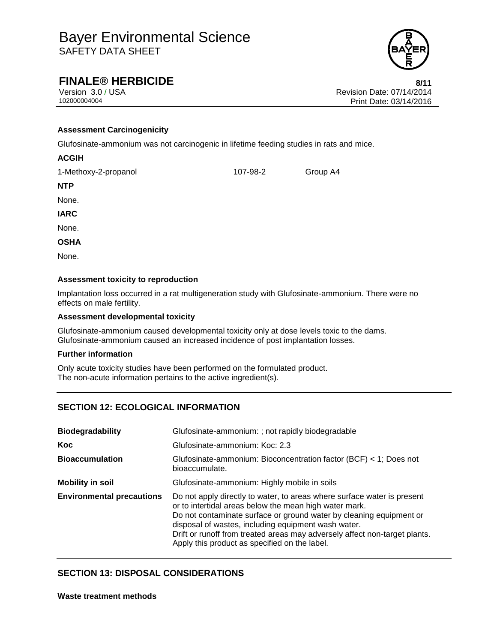

## **FINALE® HERBICIDE 8/11**

Version 3.0 / USA Revision Date: 07/14/2014<br>102000004004<br>Print Date: 03/14/2016 Print Date: 03/14/2016

#### **Assessment Carcinogenicity**

Glufosinate-ammonium was not carcinogenic in lifetime feeding studies in rats and mice.

#### **ACGIH**

1-Methoxy-2-propanol 107-98-2 Group A4

**NTP**

None.

**IARC**

None.

**OSHA**

None.

#### **Assessment toxicity to reproduction**

Implantation loss occurred in a rat multigeneration study with Glufosinate-ammonium. There were no effects on male fertility.

#### **Assessment developmental toxicity**

Glufosinate-ammonium caused developmental toxicity only at dose levels toxic to the dams. Glufosinate-ammonium caused an increased incidence of post implantation losses.

#### **Further information**

Only acute toxicity studies have been performed on the formulated product. The non-acute information pertains to the active ingredient(s).

### **SECTION 12: ECOLOGICAL INFORMATION**

| <b>Biodegradability</b>          | Glufosinate-ammonium: ; not rapidly biodegradable                                                                                                                                                                                                                                                                                                                                              |  |  |
|----------------------------------|------------------------------------------------------------------------------------------------------------------------------------------------------------------------------------------------------------------------------------------------------------------------------------------------------------------------------------------------------------------------------------------------|--|--|
| <b>Koc</b>                       | Glufosinate-ammonium: Koc: 2.3                                                                                                                                                                                                                                                                                                                                                                 |  |  |
| <b>Bioaccumulation</b>           | Glufosinate-ammonium: Bioconcentration factor (BCF) < 1; Does not<br>bioaccumulate.                                                                                                                                                                                                                                                                                                            |  |  |
| <b>Mobility in soil</b>          | Glufosinate-ammonium: Highly mobile in soils                                                                                                                                                                                                                                                                                                                                                   |  |  |
| <b>Environmental precautions</b> | Do not apply directly to water, to areas where surface water is present<br>or to intertidal areas below the mean high water mark.<br>Do not contaminate surface or ground water by cleaning equipment or<br>disposal of wastes, including equipment wash water.<br>Drift or runoff from treated areas may adversely affect non-target plants.<br>Apply this product as specified on the label. |  |  |

#### **SECTION 13: DISPOSAL CONSIDERATIONS**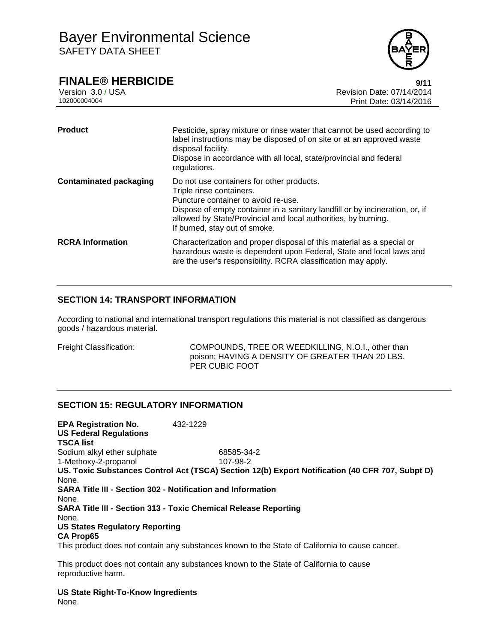

## **FINALE® HERBICIDE 9/11**

Version 3.0 / USA Revision Date: 07/14/2014 102000004004 Print Date: 03/14/2016

| <b>Product</b>                | Pesticide, spray mixture or rinse water that cannot be used according to<br>label instructions may be disposed of on site or at an approved waste<br>disposal facility.<br>Dispose in accordance with all local, state/provincial and federal<br>regulations.                                   |
|-------------------------------|-------------------------------------------------------------------------------------------------------------------------------------------------------------------------------------------------------------------------------------------------------------------------------------------------|
| <b>Contaminated packaging</b> | Do not use containers for other products.<br>Triple rinse containers.<br>Puncture container to avoid re-use.<br>Dispose of empty container in a sanitary landfill or by incineration, or, if<br>allowed by State/Provincial and local authorities, by burning.<br>If burned, stay out of smoke. |
| <b>RCRA</b> Information       | Characterization and proper disposal of this material as a special or<br>hazardous waste is dependent upon Federal, State and local laws and<br>are the user's responsibility. RCRA classification may apply.                                                                                   |

### **SECTION 14: TRANSPORT INFORMATION**

According to national and international transport regulations this material is not classified as dangerous goods / hazardous material.

Freight Classification: COMPOUNDS, TREE OR WEEDKILLING, N.O.I., other than poison; HAVING A DENSITY OF GREATER THAN 20 LBS. PER CUBIC FOOT

### **SECTION 15: REGULATORY INFORMATION**

**EPA Registration No.** 432-1229 **US Federal Regulations TSCA list** Sodium alkyl ether sulphate 68585-34-2 1-Methoxy-2-propanol 107-98-2 **US. Toxic Substances Control Act (TSCA) Section 12(b) Export Notification (40 CFR 707, Subpt D)** None. **SARA Title III - Section 302 - Notification and Information** None. **SARA Title III - Section 313 - Toxic Chemical Release Reporting** None. **US States Regulatory Reporting CA Prop65** This product does not contain any substances known to the State of California to cause cancer.

This product does not contain any substances known to the State of California to cause reproductive harm.

**US State Right-To-Know Ingredients** None.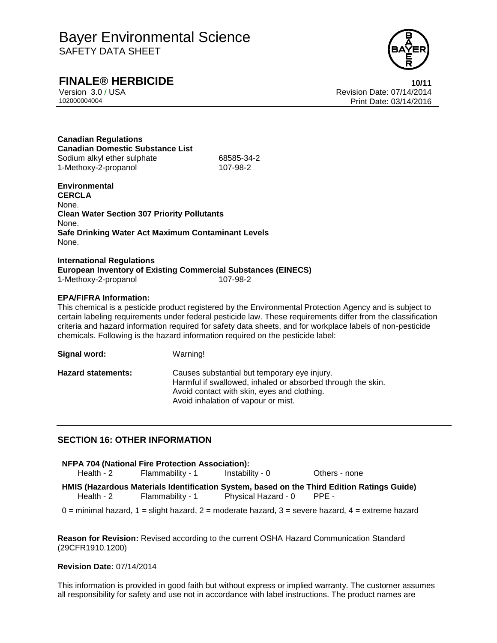

**FINALE® HERBICIDE**<br>Version 3.0/USA **10/11**<br>Revision Date: 07/14/2014 Revision Date: 07/14/2014 102000004004 Print Date: 03/14/2016

**Canadian Regulations Canadian Domestic Substance List** Sodium alkyl ether sulphate 68585-34-2 1-Methoxy-2-propanol 107-98-2

**Environmental CERCLA** None. **Clean Water Section 307 Priority Pollutants** None. **Safe Drinking Water Act Maximum Contaminant Levels** None.

**International Regulations European Inventory of Existing Commercial Substances (EINECS)** 1-Methoxy-2-propanol 107-98-2

#### **EPA/FIFRA Information:**

This chemical is a pesticide product registered by the Environmental Protection Agency and is subject to certain labeling requirements under federal pesticide law. These requirements differ from the classification criteria and hazard information required for safety data sheets, and for workplace labels of non-pesticide chemicals. Following is the hazard information required on the pesticide label:

**Signal word:** Warning!

| <b>Hazard statements:</b> |  |
|---------------------------|--|
|                           |  |

Causes substantial but temporary eye injury. Harmful if swallowed, inhaled or absorbed through the skin. Avoid contact with skin, eyes and clothing. Avoid inhalation of vapour or mist.

### **SECTION 16: OTHER INFORMATION**

| <b>NFPA 704 (National Fire Protection Association):</b> |                  |                           |                                                                                            |  |  |  |  |
|---------------------------------------------------------|------------------|---------------------------|--------------------------------------------------------------------------------------------|--|--|--|--|
| Health - 2                                              | Flammability - 1 | Instability - 0           | Others - none                                                                              |  |  |  |  |
| Health - 2                                              | Flammability - 1 | Physical Hazard - 0 PPE - | HMIS (Hazardous Materials Identification System, based on the Third Edition Ratings Guide) |  |  |  |  |

 $0 =$  minimal hazard,  $1 =$  slight hazard,  $2 =$  moderate hazard,  $3 =$  severe hazard,  $4 =$  extreme hazard

**Reason for Revision:** Revised according to the current OSHA Hazard Communication Standard (29CFR1910.1200)

#### **Revision Date:** 07/14/2014

This information is provided in good faith but without express or implied warranty. The customer assumes all responsibility for safety and use not in accordance with label instructions. The product names are